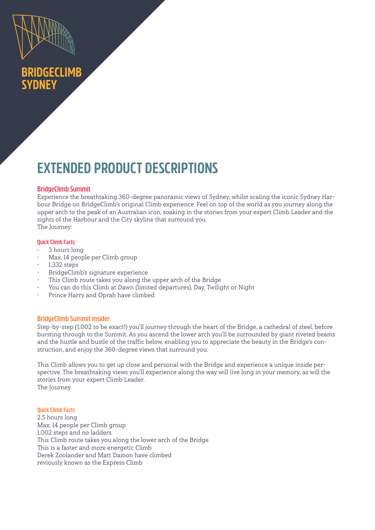

## **BRIDGECLIMB SYDNEY**

# **EXTENDED PRODUCT DESCRIPTIONS**

## **BridgeClimb Summit**

Experience the breathtaking 360-degree panoramic views of Sydney, whilst scaling the iconic Sydney Harbour Bridge on BridgeClimb's original Climb experience. Feel on top of the world as you journey along the upper arch to the peak of an Australian icon, soaking in the stories from your expert Climb Leader and the sights of the Harbour and the City skyline that surround you. The Journey:

#### **Quick Climb Facts:**

- 3 hours long
- Max. 14 people per Climb group
- 1,332 steps
- BridgeClimb's signature experience
- This Climb route takes you along the upper arch of the Bridge
- You can do this Climb at Dawn (limited departures), Day, Twilight or Night
- Prince Harry and Oprah have climbed

#### **BridgeClimb Summit Insider**

Step-by-step (1,002 to be exact!) you'll journey through the heart of the Bridge, a cathedral of steel, before bursting through to the Summit. As you ascend the lower arch you'll be surrounded by giant riveted beams and the hustle and bustle of the traffic below, enabling you to appreciate the beauty in the Bridge's construction, and enjoy the 360-degree views that surround you.

This Climb allows you to get up close and personal with the Bridge and experience a unique inside perspective. The breathtaking views you'll experience along the way will live long in your memory, as will the stories from your expert Climb Leader. The Journey

**Quick Climb Facts:** 2.5 hours long Max. 14 people per Climb group 1,002 steps and no ladders This Climb route takes you along the lower arch of the Bridge This is a faster and more energetic Climb Derek Zoolander and Matt Damon have climbed reviously known as the Express Climb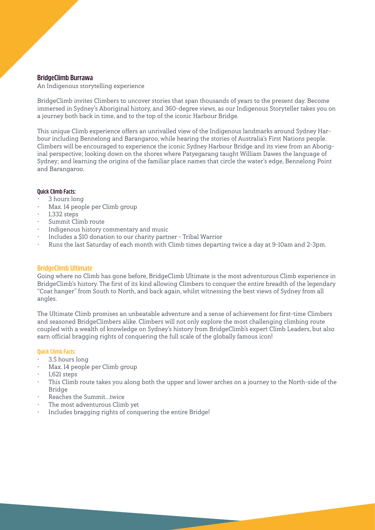#### **BridgeClimb Burrawa**

An Indigenous storytelling experience

BridgeClimb invites Climbers to uncover stories that span thousands of years to the present day. Become immersed in Sydney's Aboriginal history, and 360-degree views, as our Indigenous Storyteller takes you on a journey both back in time, and to the top of the iconic Harbour Bridge.

This unique Climb experience offers an unrivalled view of the Indigenous landmarks around Sydney Harbour including Bennelong and Barangaroo, while hearing the stories of Australia's First Nations people. Climbers will be encouraged to experience the iconic Sydney Harbour Bridge and its view from an Aboriginal perspective; looking down on the shores where Patyegarang taught William Dawes the language of Sydney; and learning the origins of the familiar place names that circle the water's edge, Bennelong Point and Barangaroo.

#### **Quick Climb Facts:**

- 3 hours long
- Max. 14 people per Climb group
- 1,332 steps
- Summit Climb route
- Indigenous history commentary and music
- Includes a \$10 donation to our charity partner Tribal Warrior
- Runs the last Saturday of each month with Climb times departing twice a day at 9-10am and 2-3pm.

#### **BridgeClimb Ultimate**

Going where no Climb has gone before, BridgeClimb Ultimate is the most adventurous Climb experience in BridgeClimb's history. The first of its kind allowing Climbers to conquer the entire breadth of the legendary "Coat hanger" from South to North, and back again, whilst witnessing the best views of Sydney from all angles.

The Ultimate Climb promises an unbeatable adventure and a sense of achievement for first-time Climbers and seasoned BridgeClimbers alike. Climbers will not only explore the most challenging climbing route coupled with a wealth of knowledge on Sydney's history from BridgeClimb's expert Climb Leaders, but also earn official bragging rights of conquering the full scale of the globally famous icon!

#### **Quick Climb Facts:**

- 3.5 hours long
- Max. 14 people per Climb group
- 1,621 steps
- This Climb route takes you along both the upper and lower arches on a journey to the North-side of the Bridge
- Reaches the Summit…twice
- The most adventurous Climb yet
- Includes bragging rights of conquering the entire Bridge!